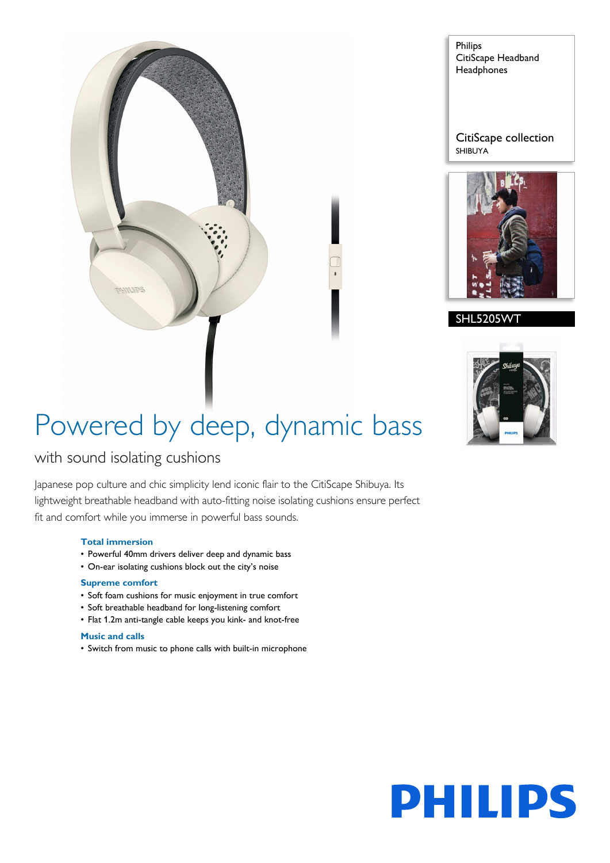

Philips CitiScape Headband **Headphones** 

CitiScape collection SHIBUYA



#### SHL5205WT



# Powered by deep, dynamic bass

### with sound isolating cushions

Japanese pop culture and chic simplicity lend iconic flair to the CitiScape Shibuya. Its lightweight breathable headband with auto-fitting noise isolating cushions ensure perfect fit and comfort while you immerse in powerful bass sounds.

#### **Total immersion**

- Powerful 40mm drivers deliver deep and dynamic bass
- On-ear isolating cushions block out the city's noise

#### **Supreme comfort**

- Soft foam cushions for music enjoyment in true comfort
- Soft breathable headband for long-listening comfort
- Flat 1.2m anti-tangle cable keeps you kink- and knot-free

#### **Music and calls**

• Switch from music to phone calls with built-in microphone

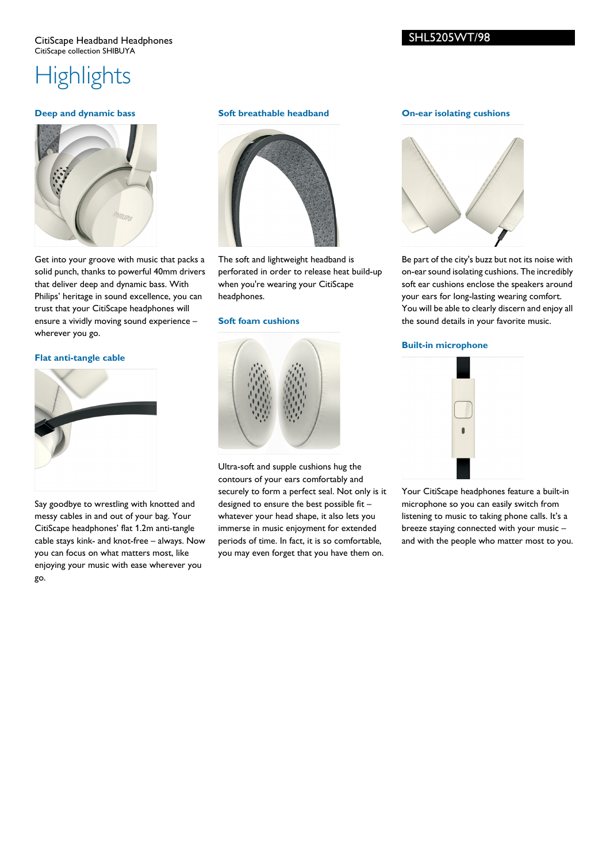#### CitiScape Headband Headphones CitiScape collection SHIBUYA

### **Highlights**

#### **Deep and dynamic bass**



Get into your groove with music that packs a solid punch, thanks to powerful 40mm drivers that deliver deep and dynamic bass. With Philips' heritage in sound excellence, you can trust that your CitiScape headphones will ensure a vividly moving sound experience – wherever you go.

#### **Flat anti-tangle cable**



Say goodbye to wrestling with knotted and messy cables in and out of your bag. Your CitiScape headphones' flat 1.2m anti-tangle cable stays kink- and knot-free – always. Now you can focus on what matters most, like enjoying your music with ease wherever you go.

#### **Soft breathable headband**



The soft and lightweight headband is perforated in order to release heat build-up when you're wearing your CitiScape headphones.

#### **Soft foam cushions**



Ultra-soft and supple cushions hug the contours of your ears comfortably and securely to form a perfect seal. Not only is it designed to ensure the best possible fit – whatever your head shape, it also lets you immerse in music enjoyment for extended periods of time. In fact, it is so comfortable, you may even forget that you have them on.

#### **On-ear isolating cushions**



Be part of the city's buzz but not its noise with on-ear sound isolating cushions. The incredibly soft ear cushions enclose the speakers around your ears for long-lasting wearing comfort. You will be able to clearly discern and enjoy all the sound details in your favorite music.

#### **Built-in microphone**



Your CitiScape headphones feature a built-in microphone so you can easily switch from listening to music to taking phone calls. It's a breeze staying connected with your music – and with the people who matter most to you.